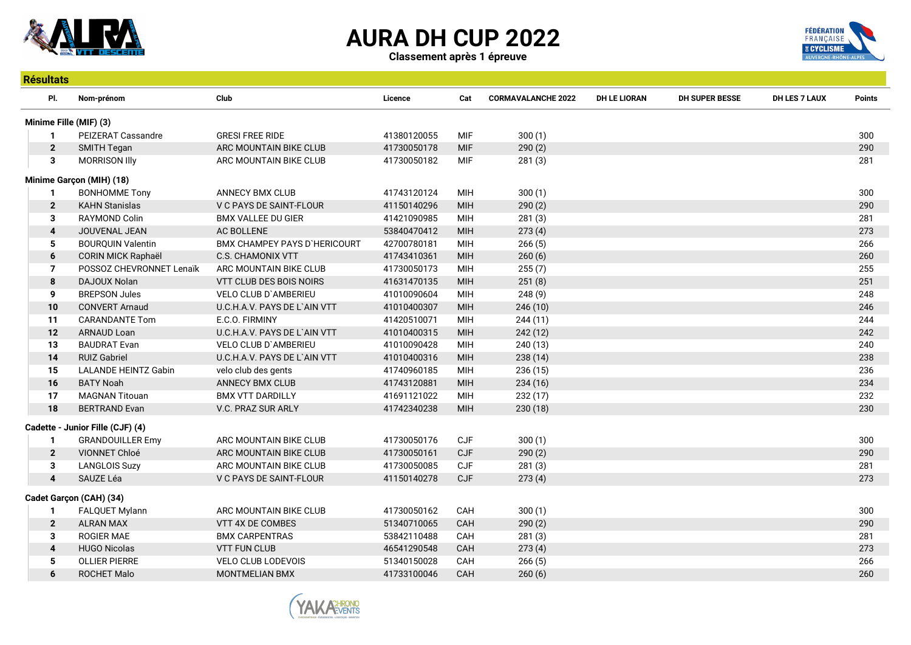





| <b>Résultats</b>        |                                  |                                     |             |            |                           |                     |                       |               |               |  |  |
|-------------------------|----------------------------------|-------------------------------------|-------------|------------|---------------------------|---------------------|-----------------------|---------------|---------------|--|--|
| PI.                     | Nom-prénom                       | Club                                | Licence     | Cat        | <b>CORMAVALANCHE 2022</b> | <b>DH LE LIORAN</b> | <b>DH SUPER BESSE</b> | DH LES 7 LAUX | <b>Points</b> |  |  |
|                         | Minime Fille (MIF) (3)           |                                     |             |            |                           |                     |                       |               |               |  |  |
| $\mathbf 1$             | PEIZERAT Cassandre               | <b>GRESI FREE RIDE</b>              | 41380120055 | <b>MIF</b> | 300(1)                    |                     |                       |               | 300           |  |  |
| $\mathbf{2}$            | SMITH Tegan                      | ARC MOUNTAIN BIKE CLUB              | 41730050178 | <b>MIF</b> | 290(2)                    |                     |                       |               | 290           |  |  |
| 3                       | <b>MORRISON IIIy</b>             | ARC MOUNTAIN BIKE CLUB              | 41730050182 | <b>MIF</b> | 281(3)                    |                     |                       |               | 281           |  |  |
|                         | Minime Garçon (MIH) (18)         |                                     |             |            |                           |                     |                       |               |               |  |  |
|                         | <b>BONHOMME Tony</b>             | ANNECY BMX CLUB                     | 41743120124 | MIH        | 300(1)                    |                     |                       |               | 300           |  |  |
| $\mathbf{2}$            | <b>KAHN Stanislas</b>            | V C PAYS DE SAINT-FLOUR             | 41150140296 | <b>MIH</b> | 290(2)                    |                     |                       |               | 290           |  |  |
| 3                       | RAYMOND Colin                    | <b>BMX VALLEE DU GIER</b>           | 41421090985 | MIH        | 281(3)                    |                     |                       |               | 281           |  |  |
| 4                       | JOUVENAL JEAN                    | <b>AC BOLLENE</b>                   | 53840470412 | <b>MIH</b> | 273(4)                    |                     |                       |               | 273           |  |  |
| 5                       | <b>BOURQUIN Valentin</b>         | <b>BMX CHAMPEY PAYS D'HERICOURT</b> | 42700780181 | MIH        | 266(5)                    |                     |                       |               | 266           |  |  |
| 6                       | CORIN MICK Raphaël               | <b>C.S. CHAMONIX VTT</b>            | 41743410361 | <b>MIH</b> | 260(6)                    |                     |                       |               | 260           |  |  |
| $\overline{7}$          | POSSOZ CHEVRONNET Lenaïk         | ARC MOUNTAIN BIKE CLUB              | 41730050173 | MIH        | 255(7)                    |                     |                       |               | 255           |  |  |
| 8                       | <b>DAJOUX Nolan</b>              | VTT CLUB DES BOIS NOIRS             | 41631470135 | <b>MIH</b> | 251(8)                    |                     |                       |               | 251           |  |  |
| 9                       | <b>BREPSON Jules</b>             | VELO CLUB D'AMBERIEU                | 41010090604 | MIH        | 248(9)                    |                     |                       |               | 248           |  |  |
| 10                      | <b>CONVERT Arnaud</b>            | U.C.H.A.V. PAYS DE L'AIN VTT        | 41010400307 | <b>MIH</b> | 246 (10)                  |                     |                       |               | 246           |  |  |
| 11                      | <b>CARANDANTE Tom</b>            | E.C.O. FIRMINY                      | 41420510071 | MIH        | 244 (11)                  |                     |                       |               | 244           |  |  |
| 12                      | <b>ARNAUD Loan</b>               | U.C.H.A.V. PAYS DE L`AIN VTT        | 41010400315 | <b>MIH</b> | 242 (12)                  |                     |                       |               | 242           |  |  |
| 13                      | <b>BAUDRAT Evan</b>              | <b>VELO CLUB D'AMBERIEU</b>         | 41010090428 | MIH        | 240 (13)                  |                     |                       |               | 240           |  |  |
| 14                      | <b>RUIZ Gabriel</b>              | U.C.H.A.V. PAYS DE L'AIN VTT        | 41010400316 | <b>MIH</b> | 238 (14)                  |                     |                       |               | 238           |  |  |
| 15                      | <b>LALANDE HEINTZ Gabin</b>      | velo club des gents                 | 41740960185 | MIH        | 236 (15)                  |                     |                       |               | 236           |  |  |
| 16                      | <b>BATY Noah</b>                 | <b>ANNECY BMX CLUB</b>              | 41743120881 | <b>MIH</b> | 234 (16)                  |                     |                       |               | 234           |  |  |
| 17                      | <b>MAGNAN Titouan</b>            | <b>BMX VTT DARDILLY</b>             | 41691121022 | MIH        | 232 (17)                  |                     |                       |               | 232           |  |  |
| 18                      | <b>BERTRAND Evan</b>             | V.C. PRAZ SUR ARLY                  | 41742340238 | MIH        | 230 (18)                  |                     |                       |               | 230           |  |  |
|                         | Cadette - Junior Fille (CJF) (4) |                                     |             |            |                           |                     |                       |               |               |  |  |
| 1                       | <b>GRANDOUILLER Emy</b>          | ARC MOUNTAIN BIKE CLUB              | 41730050176 | <b>CJF</b> | 300(1)                    |                     |                       |               | 300           |  |  |
| $\overline{2}$          | <b>VIONNET Chloé</b>             | ARC MOUNTAIN BIKE CLUB              | 41730050161 | <b>CJF</b> | 290(2)                    |                     |                       |               | 290           |  |  |
| 3                       | <b>LANGLOIS Suzy</b>             | ARC MOUNTAIN BIKE CLUB              | 41730050085 | CJF        | 281(3)                    |                     |                       |               | 281           |  |  |
| $\overline{\mathbf{4}}$ | SAUZE Léa                        | V C PAYS DE SAINT-FLOUR             | 41150140278 | <b>CJF</b> | 273(4)                    |                     |                       |               | 273           |  |  |
|                         | Cadet Garçon (CAH) (34)          |                                     |             |            |                           |                     |                       |               |               |  |  |
| 1                       | FALQUET Mylann                   | ARC MOUNTAIN BIKE CLUB              | 41730050162 | CAH        | 300(1)                    |                     |                       |               | 300           |  |  |
| $\overline{2}$          | <b>ALRAN MAX</b>                 | <b>VTT 4X DE COMBES</b>             | 51340710065 | CAH        | 290(2)                    |                     |                       |               | 290           |  |  |
| 3                       | <b>ROGIER MAE</b>                | <b>BMX CARPENTRAS</b>               | 53842110488 | CAH        | 281(3)                    |                     |                       |               | 281           |  |  |
| 4                       | <b>HUGO Nicolas</b>              | <b>VTT FUN CLUB</b>                 | 46541290548 | CAH        | 273(4)                    |                     |                       |               | 273           |  |  |
| 5                       | <b>OLLIER PIERRE</b>             | <b>VELO CLUB LODEVOIS</b>           | 51340150028 | CAH        | 266(5)                    |                     |                       |               | 266           |  |  |
| 6                       | <b>ROCHET Malo</b>               | <b>MONTMELIAN BMX</b>               | 41733100046 | CAH        | 260(6)                    |                     |                       |               | 260           |  |  |

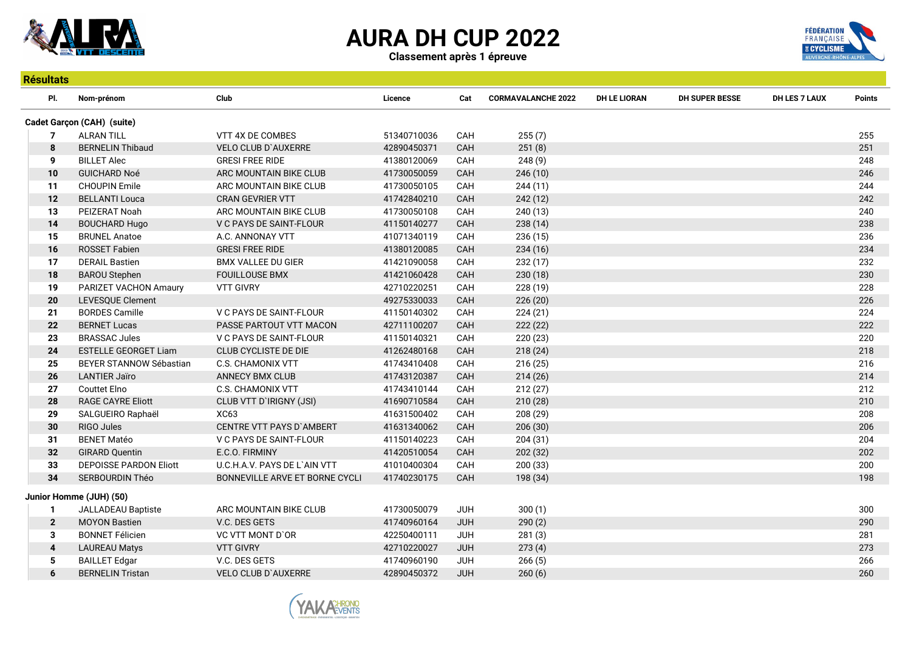

Résultats

Classement après 1 épreuve



| PI.                        | Nom-prénom                    | Club                           | Licence     | Cat        | <b>CORMAVALANCHE 2022</b> | <b>DH LE LIORAN</b> | <b>DH SUPER BESSE</b> | DH LES 7 LAUX | Points |
|----------------------------|-------------------------------|--------------------------------|-------------|------------|---------------------------|---------------------|-----------------------|---------------|--------|
| Cadet Garçon (CAH) (suite) |                               |                                |             |            |                           |                     |                       |               |        |
| 7                          | <b>ALRAN TILL</b>             | VTT 4X DE COMBES               | 51340710036 | CAH        | 255(7)                    |                     |                       |               | 255    |
| 8                          | <b>BERNELIN Thibaud</b>       | <b>VELO CLUB D'AUXERRE</b>     | 42890450371 | CAH        | 251(8)                    |                     |                       |               | 251    |
| 9                          | <b>BILLET Alec</b>            | <b>GRESI FREE RIDE</b>         | 41380120069 | CAH        | 248(9)                    |                     |                       |               | 248    |
| 10                         | <b>GUICHARD Noé</b>           | ARC MOUNTAIN BIKE CLUB         | 41730050059 | CAH        | 246(10)                   |                     |                       |               | 246    |
| 11                         | <b>CHOUPIN Emile</b>          | ARC MOUNTAIN BIKE CLUB         | 41730050105 | CAH        | 244(11)                   |                     |                       |               | 244    |
| 12                         | <b>BELLANTI Louca</b>         | CRAN GEVRIER VTT               | 41742840210 | CAH        | 242 (12)                  |                     |                       |               | 242    |
| 13                         | PEIZERAT Noah                 | ARC MOUNTAIN BIKE CLUB         | 41730050108 | CAH        | 240 (13)                  |                     |                       |               | 240    |
| 14                         | <b>BOUCHARD Hugo</b>          | V C PAYS DE SAINT-FLOUR        | 41150140277 | CAH        | 238(14)                   |                     |                       |               | 238    |
| 15                         | <b>BRUNEL Anatoe</b>          | A.C. ANNONAY VTT               | 41071340119 | CAH        | 236 (15)                  |                     |                       |               | 236    |
| 16                         | ROSSET Fabien                 | <b>GRESI FREE RIDE</b>         | 41380120085 | CAH        | 234(16)                   |                     |                       |               | 234    |
| 17                         | <b>DERAIL Bastien</b>         | <b>BMX VALLEE DU GIER</b>      | 41421090058 | CAH        | 232(17)                   |                     |                       |               | 232    |
| 18                         | <b>BAROU Stephen</b>          | <b>FOUILLOUSE BMX</b>          | 41421060428 | CAH        | 230(18)                   |                     |                       |               | 230    |
| 19                         | PARIZET VACHON Amaury         | <b>VTT GIVRY</b>               | 42710220251 | CAH        | 228 (19)                  |                     |                       |               | 228    |
| 20                         | LEVESQUE Clement              |                                | 49275330033 | CAH        | 226(20)                   |                     |                       |               | 226    |
| 21                         | <b>BORDES Camille</b>         | V C PAYS DE SAINT-FLOUR        | 41150140302 | CAH        | 224 (21)                  |                     |                       |               | 224    |
| 22                         | <b>BERNET Lucas</b>           | PASSE PARTOUT VTT MACON        | 42711100207 | CAH        | 222(22)                   |                     |                       |               | 222    |
| 23                         | <b>BRASSAC Jules</b>          | V C PAYS DE SAINT-FLOUR        | 41150140321 | CAH        | 220 (23)                  |                     |                       |               | 220    |
| 24                         | <b>ESTELLE GEORGET Liam</b>   | <b>CLUB CYCLISTE DE DIE</b>    | 41262480168 | CAH        | 218(24)                   |                     |                       |               | 218    |
| 25                         | BEYER STANNOW Sébastian       | <b>C.S. CHAMONIX VTT</b>       | 41743410408 | CAH        | 216(25)                   |                     |                       |               | 216    |
| 26                         | LANTIER Jaïro                 | ANNECY BMX CLUB                | 41743120387 | CAH        | 214(26)                   |                     |                       |               | 214    |
| 27                         | <b>Couttet Elno</b>           | <b>C.S. CHAMONIX VTT</b>       | 41743410144 | CAH        | 212(27)                   |                     |                       |               | 212    |
| 28                         | <b>RAGE CAYRE Eliott</b>      | CLUB VTT D'IRIGNY (JSI)        | 41690710584 | CAH        | 210 (28)                  |                     |                       |               | 210    |
| 29                         | SALGUEIRO Raphaël             | XC63                           | 41631500402 | CAH        | 208 (29)                  |                     |                       |               | 208    |
| 30                         | RIGO Jules                    | CENTRE VTT PAYS D'AMBERT       | 41631340062 | CAH        | 206(30)                   |                     |                       |               | 206    |
| 31                         | <b>BENET Matéo</b>            | V C PAYS DE SAINT-FLOUR        | 41150140223 | CAH        | 204(31)                   |                     |                       |               | 204    |
| 32                         | <b>GIRARD Quentin</b>         | E.C.O. FIRMINY                 | 41420510054 | CAH        | 202 (32)                  |                     |                       |               | 202    |
| 33                         | <b>DEPOISSE PARDON Eliott</b> | U.C.H.A.V. PAYS DE L'AIN VTT   | 41010400304 | CAH        | 200(33)                   |                     |                       |               | 200    |
| 34                         | <b>SERBOURDIN Théo</b>        | BONNEVILLE ARVE ET BORNE CYCLI | 41740230175 | CAH        | 198 (34)                  |                     |                       |               | 198    |
|                            | Junior Homme (JUH) (50)       |                                |             |            |                           |                     |                       |               |        |
| 1                          | JALLADEAU Baptiste            | ARC MOUNTAIN BIKE CLUB         | 41730050079 | <b>JUH</b> | 300(1)                    |                     |                       |               | 300    |
| $\mathbf{2}$               | <b>MOYON Bastien</b>          | V.C. DES GETS                  | 41740960164 | <b>JUH</b> | 290(2)                    |                     |                       |               | 290    |
| 3                          | <b>BONNET Félicien</b>        | <b>VC VTT MONT D'OR</b>        | 42250400111 | <b>JUH</b> | 281(3)                    |                     |                       |               | 281    |
| $\overline{\mathbf{4}}$    | <b>LAUREAU Matys</b>          | <b>VTT GIVRY</b>               | 42710220027 | <b>JUH</b> | 273(4)                    |                     |                       |               | 273    |
| 5                          | <b>BAILLET Edgar</b>          | V.C. DES GETS                  | 41740960190 | <b>JUH</b> | 266(5)                    |                     |                       |               | 266    |
| 6                          | <b>BERNELIN Tristan</b>       | <b>VELO CLUB D'AUXERRE</b>     | 42890450372 | <b>JUH</b> | 260(6)                    |                     |                       |               | 260    |

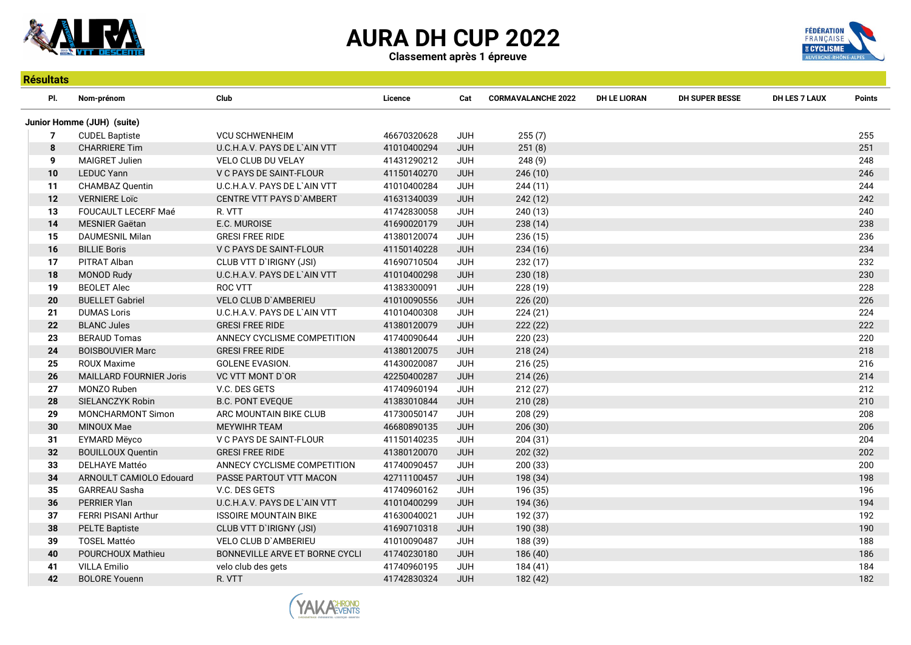

Classement après 1 épreuve



| <b>Résultats</b> |                                |                                 |             |            |                           |                     |                       |                      |               |  |  |
|------------------|--------------------------------|---------------------------------|-------------|------------|---------------------------|---------------------|-----------------------|----------------------|---------------|--|--|
| PI.              | Nom-prénom                     | Club                            | Licence     | Cat        | <b>CORMAVALANCHE 2022</b> | <b>DH LE LIORAN</b> | <b>DH SUPER BESSE</b> | <b>DH LES 7 LAUX</b> | <b>Points</b> |  |  |
|                  | Junior Homme (JUH) (suite)     |                                 |             |            |                           |                     |                       |                      |               |  |  |
| $\overline{7}$   | <b>CUDEL Baptiste</b>          | <b>VCU SCHWENHEIM</b>           | 46670320628 | <b>JUH</b> | 255(7)                    |                     |                       |                      | 255           |  |  |
| 8                | <b>CHARRIERE Tim</b>           | U.C.H.A.V. PAYS DE L`AIN VTT    | 41010400294 | <b>JUH</b> | 251(8)                    |                     |                       |                      | 251           |  |  |
| 9                | <b>MAIGRET Julien</b>          | VELO CLUB DU VELAY              | 41431290212 | <b>JUH</b> | 248(9)                    |                     |                       |                      | 248           |  |  |
| 10               | <b>LEDUC Yann</b>              | V C PAYS DE SAINT-FLOUR         | 41150140270 | <b>JUH</b> | 246 (10)                  |                     |                       |                      | 246           |  |  |
| 11               | CHAMBAZ Quentin                | U.C.H.A.V. PAYS DE L'AIN VTT    | 41010400284 | <b>JUH</b> | 244(11)                   |                     |                       |                      | 244           |  |  |
| 12               | <b>VERNIERE Loïc</b>           | <b>CENTRE VTT PAYS D'AMBERT</b> | 41631340039 | <b>JUH</b> | 242 (12)                  |                     |                       |                      | 242           |  |  |
| 13               | FOUCAULT LECERF Maé            | R. VTT                          | 41742830058 | <b>JUH</b> | 240 (13)                  |                     |                       |                      | 240           |  |  |
| 14               | MESNIER Gaëtan                 | E.C. MUROISE                    | 41690020179 | <b>JUH</b> | 238(14)                   |                     |                       |                      | 238           |  |  |
| 15               | <b>DAUMESNIL Milan</b>         | <b>GRESI FREE RIDE</b>          | 41380120074 | <b>JUH</b> | 236 (15)                  |                     |                       |                      | 236           |  |  |
| 16               | <b>BILLIE Boris</b>            | V C PAYS DE SAINT-FLOUR         | 41150140228 | <b>JUH</b> | 234 (16)                  |                     |                       |                      | 234           |  |  |
| 17               | PITRAT Alban                   | CLUB VTT D'IRIGNY (JSI)         | 41690710504 | <b>JUH</b> | 232 (17)                  |                     |                       |                      | 232           |  |  |
| 18               | <b>MONOD Rudy</b>              | U.C.H.A.V. PAYS DE L`AIN VTT    | 41010400298 | <b>JUH</b> | 230 (18)                  |                     |                       |                      | 230           |  |  |
| 19               | <b>BEOLET Alec</b>             | <b>ROC VTT</b>                  | 41383300091 | <b>JUH</b> | 228 (19)                  |                     |                       |                      | 228           |  |  |
| 20               | <b>BUELLET Gabriel</b>         | VELO CLUB D'AMBERIEU            | 41010090556 | <b>JUH</b> | 226 (20)                  |                     |                       |                      | 226           |  |  |
| 21               | <b>DUMAS Loris</b>             | U.C.H.A.V. PAYS DE L'AIN VTT    | 41010400308 | <b>JUH</b> | 224(21)                   |                     |                       |                      | 224           |  |  |
| 22               | <b>BLANC Jules</b>             | <b>GRESI FREE RIDE</b>          | 41380120079 | <b>JUH</b> | 222(22)                   |                     |                       |                      | 222           |  |  |
| 23               | <b>BERAUD Tomas</b>            | ANNECY CYCLISME COMPETITION     | 41740090644 | <b>JUH</b> | 220 (23)                  |                     |                       |                      | 220           |  |  |
| 24               | <b>BOISBOUVIER Marc</b>        | <b>GRESI FREE RIDE</b>          | 41380120075 | <b>JUH</b> | 218(24)                   |                     |                       |                      | 218           |  |  |
| 25               | <b>ROUX Maxime</b>             | <b>GOLENE EVASION.</b>          | 41430020087 | <b>JUH</b> | 216 (25)                  |                     |                       |                      | 216           |  |  |
| 26               | <b>MAILLARD FOURNIER Joris</b> | VC VTT MONT D'OR                | 42250400287 | <b>JUH</b> | 214 (26)                  |                     |                       |                      | 214           |  |  |
| 27               | MONZO Ruben                    | V.C. DES GETS                   | 41740960194 | <b>JUH</b> | 212(27)                   |                     |                       |                      | 212           |  |  |
| 28               | SIELANCZYK Robin               | <b>B.C. PONT EVEQUE</b>         | 41383010844 | JUH        | 210(28)                   |                     |                       |                      | 210           |  |  |
| 29               | MONCHARMONT Simon              | ARC MOUNTAIN BIKE CLUB          | 41730050147 | <b>JUH</b> | 208 (29)                  |                     |                       |                      | 208           |  |  |
| 30               | <b>MINOUX Mae</b>              | <b>MEYWIHR TEAM</b>             | 46680890135 | <b>JUH</b> | 206(30)                   |                     |                       |                      | 206           |  |  |
| 31               | <b>EYMARD Mëyco</b>            | V C PAYS DE SAINT-FLOUR         | 41150140235 | <b>JUH</b> | 204(31)                   |                     |                       |                      | 204           |  |  |
| 32               | <b>BOUILLOUX Quentin</b>       | <b>GRESI FREE RIDE</b>          | 41380120070 | <b>JUH</b> | 202 (32)                  |                     |                       |                      | 202           |  |  |
| 33               | <b>DELHAYE Mattéo</b>          | ANNECY CYCLISME COMPETITION     | 41740090457 | <b>JUH</b> | 200 (33)                  |                     |                       |                      | 200           |  |  |
| 34               | ARNOULT CAMIOLO Edouard        | PASSE PARTOUT VTT MACON         | 42711100457 | <b>JUH</b> | 198 (34)                  |                     |                       |                      | 198           |  |  |
| 35               | GARREAU Sasha                  | V.C. DES GETS                   | 41740960162 | <b>JUH</b> | 196 (35)                  |                     |                       |                      | 196           |  |  |
| 36               | PERRIER Ylan                   | U.C.H.A.V. PAYS DE L'AIN VTT    | 41010400299 | <b>JUH</b> | 194 (36)                  |                     |                       |                      | 194           |  |  |
| 37               | FERRI PISANI Arthur            | <b>ISSOIRE MOUNTAIN BIKE</b>    | 41630040021 | <b>JUH</b> | 192 (37)                  |                     |                       |                      | 192           |  |  |
| 38               | <b>PELTE Baptiste</b>          | CLUB VTT D'IRIGNY (JSI)         | 41690710318 | <b>JUH</b> | 190 (38)                  |                     |                       |                      | 190           |  |  |
| 39               | <b>TOSEL Mattéo</b>            | <b>VELO CLUB D'AMBERIEU</b>     | 41010090487 | <b>JUH</b> | 188 (39)                  |                     |                       |                      | 188           |  |  |
| 40               | POURCHOUX Mathieu              | BONNEVILLE ARVE ET BORNE CYCLI  | 41740230180 | <b>JUH</b> | 186 (40)                  |                     |                       |                      | 186           |  |  |
| 41               | <b>VILLA Emilio</b>            | velo club des gets              | 41740960195 | <b>JUH</b> | 184 (41)                  |                     |                       |                      | 184           |  |  |
| 42               | <b>BOLORE Youenn</b>           | R. VTT                          | 41742830324 | <b>JUH</b> | 182 (42)                  |                     |                       |                      | 182           |  |  |

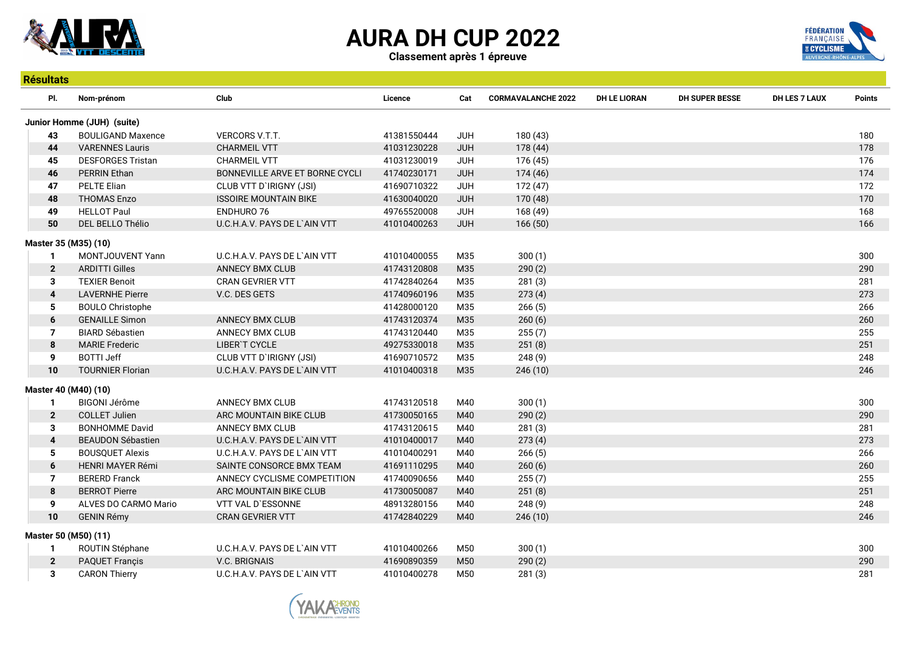

Résultats

# AURA DH CUP 2022



Classement après 1 épreuve

| PI.                     | Nom-prénom                 | Club                           | Licence     | Cat        | <b>CORMAVALANCHE 2022</b> | <b>DH LE LIORAN</b> | <b>DH SUPER BESSE</b> | <b>DH LES 7 LAUX</b> | <b>Points</b> |
|-------------------------|----------------------------|--------------------------------|-------------|------------|---------------------------|---------------------|-----------------------|----------------------|---------------|
|                         | Junior Homme (JUH) (suite) |                                |             |            |                           |                     |                       |                      |               |
| 43                      | <b>BOULIGAND Maxence</b>   | VERCORS V.T.T.                 | 41381550444 | <b>JUH</b> | 180 (43)                  |                     |                       |                      | 180           |
| 44                      | <b>VARENNES Lauris</b>     | <b>CHARMEIL VTT</b>            | 41031230228 | <b>JUH</b> | 178 (44)                  |                     |                       |                      | 178           |
| 45                      | <b>DESFORGES Tristan</b>   | <b>CHARMEIL VTT</b>            | 41031230019 | <b>JUH</b> | 176 (45)                  |                     |                       |                      | 176           |
| 46                      | PERRIN Ethan               | BONNEVILLE ARVE ET BORNE CYCLI | 41740230171 | <b>JUH</b> | 174 (46)                  |                     |                       |                      | 174           |
| 47                      | <b>PELTE Elian</b>         | CLUB VTT D'IRIGNY (JSI)        | 41690710322 | <b>JUH</b> | 172 (47)                  |                     |                       |                      | 172           |
| 48                      | <b>THOMAS Enzo</b>         | <b>ISSOIRE MOUNTAIN BIKE</b>   | 41630040020 | <b>JUH</b> | 170 (48)                  |                     |                       |                      | 170           |
| 49                      | <b>HELLOT Paul</b>         | <b>ENDHURO 76</b>              | 49765520008 | <b>JUH</b> | 168 (49)                  |                     |                       |                      | 168           |
| 50                      | DEL BELLO Thélio           | U.C.H.A.V. PAYS DE L`AIN VTT   | 41010400263 | <b>JUH</b> | 166(50)                   |                     |                       |                      | 166           |
| Master 35 (M35) (10)    |                            |                                |             |            |                           |                     |                       |                      |               |
| $\mathbf{1}$            | MONTJOUVENT Yann           | U.C.H.A.V. PAYS DE L'AIN VTT   | 41010400055 | M35        | 300(1)                    |                     |                       |                      | 300           |
| $\overline{2}$          | <b>ARDITTI Gilles</b>      | <b>ANNECY BMX CLUB</b>         | 41743120808 | M35        | 290(2)                    |                     |                       |                      | 290           |
| 3                       | <b>TEXIER Benoit</b>       | <b>CRAN GEVRIER VTT</b>        | 41742840264 | M35        | 281(3)                    |                     |                       |                      | 281           |
| 4                       | <b>LAVERNHE Pierre</b>     | V.C. DES GETS                  | 41740960196 | M35        | 273(4)                    |                     |                       |                      | 273           |
| 5                       | <b>BOULO Christophe</b>    |                                | 41428000120 | M35        | 266(5)                    |                     |                       |                      | 266           |
| 6                       | <b>GENAILLE Simon</b>      | ANNECY BMX CLUB                | 41743120374 | M35        | 260(6)                    |                     |                       |                      | 260           |
| $\overline{7}$          | <b>BIARD Sébastien</b>     | <b>ANNECY BMX CLUB</b>         | 41743120440 | M35        | 255(7)                    |                     |                       |                      | 255           |
| 8                       | <b>MARIE Frederic</b>      | LIBER'T CYCLE                  | 49275330018 | M35        | 251(8)                    |                     |                       |                      | 251           |
| 9                       | <b>BOTTI Jeff</b>          | CLUB VTT D'IRIGNY (JSI)        | 41690710572 | M35        | 248(9)                    |                     |                       |                      | 248           |
| 10                      | <b>TOURNIER Florian</b>    | U.C.H.A.V. PAYS DE L'AIN VTT   | 41010400318 | M35        | 246(10)                   |                     |                       |                      | 246           |
| Master 40 (M40) (10)    |                            |                                |             |            |                           |                     |                       |                      |               |
| $\mathbf{1}$            | <b>BIGONI Jérôme</b>       | <b>ANNECY BMX CLUB</b>         | 41743120518 | M40        | 300(1)                    |                     |                       |                      | 300           |
| $\overline{2}$          | <b>COLLET Julien</b>       | ARC MOUNTAIN BIKE CLUB         | 41730050165 | M40        | 290(2)                    |                     |                       |                      | 290           |
| 3                       | <b>BONHOMME David</b>      | <b>ANNECY BMX CLUB</b>         | 41743120615 | M40        | 281(3)                    |                     |                       |                      | 281           |
| $\overline{\mathbf{4}}$ | <b>BEAUDON Sébastien</b>   | U.C.H.A.V. PAYS DE L'AIN VTT   | 41010400017 | M40        | 273(4)                    |                     |                       |                      | 273           |
| 5                       | <b>BOUSQUET Alexis</b>     | U.C.H.A.V. PAYS DE L'AIN VTT   | 41010400291 | M40        | 266(5)                    |                     |                       |                      | 266           |
| 6                       | <b>HENRI MAYER Rémi</b>    | SAINTE CONSORCE BMX TEAM       | 41691110295 | M40        | 260(6)                    |                     |                       |                      | 260           |
| $\overline{7}$          | <b>BERERD Franck</b>       | ANNECY CYCLISME COMPETITION    | 41740090656 | M40        | 255(7)                    |                     |                       |                      | 255           |
| 8                       | <b>BERROT Pierre</b>       | ARC MOUNTAIN BIKE CLUB         | 41730050087 | M40        | 251(8)                    |                     |                       |                      | 251           |
| 9                       | ALVES DO CARMO Mario       | VTT VAL D'ESSONNE              | 48913280156 | M40        | 248(9)                    |                     |                       |                      | 248           |
| 10                      | <b>GENIN Rémy</b>          | <b>CRAN GEVRIER VTT</b>        | 41742840229 | M40        | 246(10)                   |                     |                       |                      | 246           |
| Master 50 (M50) (11)    |                            |                                |             |            |                           |                     |                       |                      |               |
| $\mathbf{1}$            | ROUTIN Stéphane            | U.C.H.A.V. PAYS DE L'AIN VTT   | 41010400266 | M50        | 300(1)                    |                     |                       |                      | 300           |
| $\overline{2}$          | <b>PAQUET Françis</b>      | <b>V.C. BRIGNAIS</b>           | 41690890359 | M50        | 290(2)                    |                     |                       |                      | 290           |
| 3                       | <b>CARON Thierry</b>       | U.C.H.A.V. PAYS DE L'AIN VTT   | 41010400278 | M50        | 281(3)                    |                     |                       |                      | 281           |

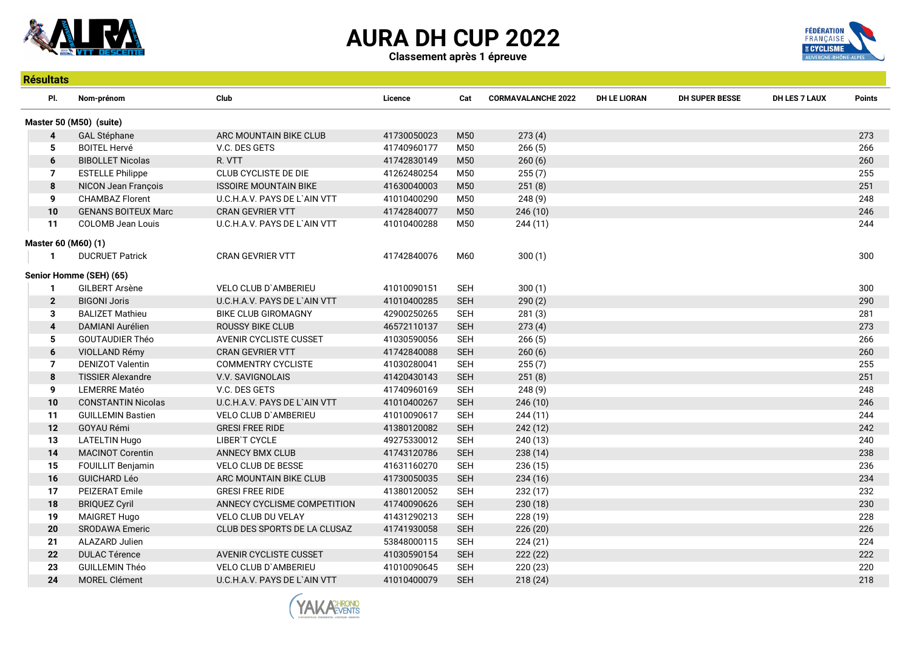

Résultats





| <b>Resultats</b>        |                            |                               |             |            |                           |                     |                       |               |        |
|-------------------------|----------------------------|-------------------------------|-------------|------------|---------------------------|---------------------|-----------------------|---------------|--------|
| PI.                     | Nom-prénom                 | Club                          | Licence     | Cat        | <b>CORMAVALANCHE 2022</b> | <b>DH LE LIORAN</b> | <b>DH SUPER BESSE</b> | DH LES 7 LAUX | Points |
| Master 50 (M50) (suite) |                            |                               |             |            |                           |                     |                       |               |        |
| $\overline{\mathbf{4}}$ | <b>GAL Stéphane</b>        | ARC MOUNTAIN BIKE CLUB        | 41730050023 | M50        | 273(4)                    |                     |                       |               | 273    |
| 5                       | <b>BOITEL Hervé</b>        | V.C. DES GETS                 | 41740960177 | M50        | 266(5)                    |                     |                       |               | 266    |
| 6                       | <b>BIBOLLET Nicolas</b>    | R. VTT                        | 41742830149 | M50        | 260(6)                    |                     |                       |               | 260    |
| 7                       | <b>ESTELLE Philippe</b>    | CLUB CYCLISTE DE DIE          | 41262480254 | M50        | 255(7)                    |                     |                       |               | 255    |
| 8                       | NICON Jean François        | <b>ISSOIRE MOUNTAIN BIKE</b>  | 41630040003 | M50        | 251(8)                    |                     |                       |               | 251    |
| 9                       | <b>CHAMBAZ Florent</b>     | U.C.H.A.V. PAYS DE L'AIN VTT  | 41010400290 | M50        | 248(9)                    |                     |                       |               | 248    |
| 10                      | <b>GENANS BOITEUX Marc</b> | CRAN GEVRIER VTT              | 41742840077 | M50        | 246(10)                   |                     |                       |               | 246    |
| 11                      | COLOMB Jean Louis          | U.C.H.A.V. PAYS DE L'AIN VTT  | 41010400288 | M50        | 244 (11)                  |                     |                       |               | 244    |
| Master 60 (M60) (1)     |                            |                               |             |            |                           |                     |                       |               |        |
| -1                      | <b>DUCRUET Patrick</b>     | <b>CRAN GEVRIER VTT</b>       | 41742840076 | M60        | 300(1)                    |                     |                       |               | 300    |
|                         |                            |                               |             |            |                           |                     |                       |               |        |
|                         | Senior Homme (SEH) (65)    |                               |             |            |                           |                     |                       |               |        |
| -1                      | <b>GILBERT Arsène</b>      | <b>VELO CLUB D'AMBERIEU</b>   | 41010090151 | <b>SEH</b> | 300(1)                    |                     |                       |               | 300    |
| $\overline{2}$          | <b>BIGONI Joris</b>        | U.C.H.A.V. PAYS DE L'AIN VTT  | 41010400285 | <b>SEH</b> | 290(2)                    |                     |                       |               | 290    |
| 3                       | <b>BALIZET Mathieu</b>     | <b>BIKE CLUB GIROMAGNY</b>    | 42900250265 | <b>SEH</b> | 281(3)                    |                     |                       |               | 281    |
| $\overline{\mathbf{4}}$ | DAMIANI Aurélien           | <b>ROUSSY BIKE CLUB</b>       | 46572110137 | <b>SEH</b> | 273(4)                    |                     |                       |               | 273    |
| 5                       | <b>GOUTAUDIER Théo</b>     | <b>AVENIR CYCLISTE CUSSET</b> | 41030590056 | <b>SEH</b> | 266(5)                    |                     |                       |               | 266    |
| 6                       | VIOLLAND Rémy              | <b>CRAN GEVRIER VTT</b>       | 41742840088 | <b>SEH</b> | 260(6)                    |                     |                       |               | 260    |
| $\overline{7}$          | <b>DENIZOT Valentin</b>    | <b>COMMENTRY CYCLISTE</b>     | 41030280041 | <b>SEH</b> | 255(7)                    |                     |                       |               | 255    |
| 8                       | <b>TISSIER Alexandre</b>   | V.V. SAVIGNOLAIS              | 41420430143 | <b>SEH</b> | 251(8)                    |                     |                       |               | 251    |
| 9                       | <b>LEMERRE Matéo</b>       | V.C. DES GETS                 | 41740960169 | <b>SEH</b> | 248 (9)                   |                     |                       |               | 248    |
| 10                      | <b>CONSTANTIN Nicolas</b>  | U.C.H.A.V. PAYS DE L'AIN VTT  | 41010400267 | <b>SEH</b> | 246(10)                   |                     |                       |               | 246    |
| 11                      | <b>GUILLEMIN Bastien</b>   | VELO CLUB D'AMBERIEU          | 41010090617 | <b>SEH</b> | 244(11)                   |                     |                       |               | 244    |
| 12                      | <b>GOYAU Rémi</b>          | <b>GRESI FREE RIDE</b>        | 41380120082 | <b>SEH</b> | 242(12)                   |                     |                       |               | 242    |
| 13                      | <b>LATELTIN Hugo</b>       | LIBER'T CYCLE                 | 49275330012 | <b>SEH</b> | 240 (13)                  |                     |                       |               | 240    |
| 14                      | <b>MACINOT Corentin</b>    | <b>ANNECY BMX CLUB</b>        | 41743120786 | <b>SEH</b> | 238(14)                   |                     |                       |               | 238    |
| 15                      | FOUILLIT Benjamin          | <b>VELO CLUB DE BESSE</b>     | 41631160270 | <b>SEH</b> | 236 (15)                  |                     |                       |               | 236    |
| 16                      | <b>GUICHARD Léo</b>        | ARC MOUNTAIN BIKE CLUB        | 41730050035 | <b>SEH</b> | 234(16)                   |                     |                       |               | 234    |
| 17                      | PEIZERAT Emile             | <b>GRESI FREE RIDE</b>        | 41380120052 | <b>SEH</b> | 232(17)                   |                     |                       |               | 232    |
| 18                      | <b>BRIQUEZ Cyril</b>       | ANNECY CYCLISME COMPETITION   | 41740090626 | <b>SEH</b> | 230(18)                   |                     |                       |               | 230    |
| 19                      | <b>MAIGRET Hugo</b>        | <b>VELO CLUB DU VELAY</b>     | 41431290213 | <b>SEH</b> | 228 (19)                  |                     |                       |               | 228    |
| 20                      | SRODAWA Emeric             | CLUB DES SPORTS DE LA CLUSAZ  | 41741930058 | <b>SEH</b> | 226 (20)                  |                     |                       |               | 226    |
| 21                      | ALAZARD Julien             |                               | 53848000115 | <b>SEH</b> | 224(21)                   |                     |                       |               | 224    |
| 22                      | <b>DULAC Térence</b>       | <b>AVENIR CYCLISTE CUSSET</b> | 41030590154 | <b>SEH</b> | 222 (22)                  |                     |                       |               | 222    |
| 23                      | <b>GUILLEMIN Théo</b>      | <b>VELO CLUB D'AMBERIEU</b>   | 41010090645 | <b>SEH</b> | 220 (23)                  |                     |                       |               | 220    |
| 24                      | <b>MOREL Clément</b>       | U.C.H.A.V. PAYS DE L`AIN VTT  | 41010400079 | <b>SEH</b> | 218(24)                   |                     |                       |               | 218    |

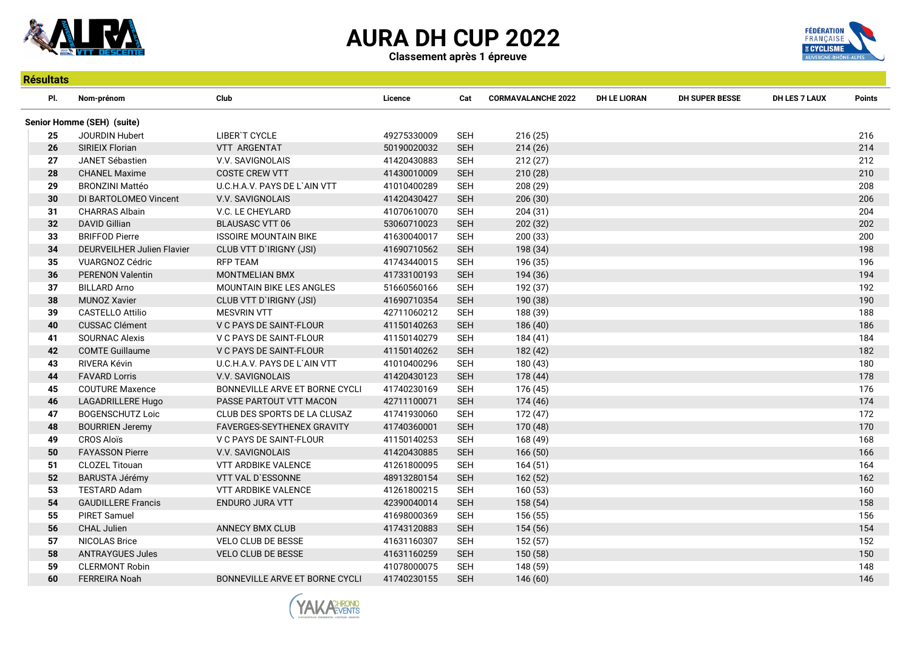

Classement après 1 épreuve



| <b>Résultats</b> |                            |                                   |             |            |                           |                     |                |                      |               |  |  |
|------------------|----------------------------|-----------------------------------|-------------|------------|---------------------------|---------------------|----------------|----------------------|---------------|--|--|
| PI.              | Nom-prénom                 | Club                              | Licence     | Cat        | <b>CORMAVALANCHE 2022</b> | <b>DH LE LIORAN</b> | DH SUPER BESSE | <b>DH LES 7 LAUX</b> | <b>Points</b> |  |  |
|                  | Senior Homme (SEH) (suite) |                                   |             |            |                           |                     |                |                      |               |  |  |
| 25               | <b>JOURDIN Hubert</b>      | LIBER'T CYCLE                     | 49275330009 | <b>SEH</b> | 216 (25)                  |                     |                |                      | 216           |  |  |
| 26               | <b>SIRIEIX Florian</b>     | <b>VTT ARGENTAT</b>               | 50190020032 | <b>SEH</b> | 214(26)                   |                     |                |                      | 214           |  |  |
| 27               | <b>JANET Sébastien</b>     | V.V. SAVIGNOLAIS                  | 41420430883 | <b>SEH</b> | 212(27)                   |                     |                |                      | 212           |  |  |
| 28               | <b>CHANEL Maxime</b>       | <b>COSTE CREW VTT</b>             | 41430010009 | <b>SEH</b> | 210(28)                   |                     |                |                      | 210           |  |  |
| 29               | <b>BRONZINI Mattéo</b>     | U.C.H.A.V. PAYS DE L'AIN VTT      | 41010400289 | <b>SEH</b> | 208 (29)                  |                     |                |                      | 208           |  |  |
| 30               | DI BARTOLOMEO Vincent      | V.V. SAVIGNOLAIS                  | 41420430427 | <b>SEH</b> | 206 (30)                  |                     |                |                      | 206           |  |  |
| 31               | <b>CHARRAS Albain</b>      | V.C. LE CHEYLARD                  | 41070610070 | <b>SEH</b> | 204(31)                   |                     |                |                      | 204           |  |  |
| 32               | <b>DAVID Gillian</b>       | <b>BLAUSASC VTT 06</b>            | 53060710023 | <b>SEH</b> | 202 (32)                  |                     |                |                      | 202           |  |  |
| 33               | <b>BRIFFOD Pierre</b>      | <b>ISSOIRE MOUNTAIN BIKE</b>      | 41630040017 | <b>SEH</b> | 200 (33)                  |                     |                |                      | 200           |  |  |
| 34               | DEURVEILHER Julien Flavier | CLUB VTT D'IRIGNY (JSI)           | 41690710562 | <b>SEH</b> | 198 (34)                  |                     |                |                      | 198           |  |  |
| 35               | <b>VUARGNOZ Cédric</b>     | <b>RFP TEAM</b>                   | 41743440015 | <b>SEH</b> | 196 (35)                  |                     |                |                      | 196           |  |  |
| 36               | <b>PERENON Valentin</b>    | <b>MONTMELIAN BMX</b>             | 41733100193 | <b>SEH</b> | 194 (36)                  |                     |                |                      | 194           |  |  |
| 37               | <b>BILLARD Arno</b>        | <b>MOUNTAIN BIKE LES ANGLES</b>   | 51660560166 | SEH        | 192 (37)                  |                     |                |                      | 192           |  |  |
| 38               | <b>MUNOZ Xavier</b>        | CLUB VTT D'IRIGNY (JSI)           | 41690710354 | <b>SEH</b> | 190 (38)                  |                     |                |                      | 190           |  |  |
| 39               | <b>CASTELLO Attilio</b>    | <b>MESVRIN VTT</b>                | 42711060212 | <b>SEH</b> | 188 (39)                  |                     |                |                      | 188           |  |  |
| 40               | <b>CUSSAC Clément</b>      | V C PAYS DE SAINT-FLOUR           | 41150140263 | <b>SEH</b> | 186 (40)                  |                     |                |                      | 186           |  |  |
| 41               | <b>SOURNAC Alexis</b>      | V C PAYS DE SAINT-FLOUR           | 41150140279 | SEH        | 184 (41)                  |                     |                |                      | 184           |  |  |
| 42               | <b>COMTE Guillaume</b>     | V C PAYS DE SAINT-FLOUR           | 41150140262 | <b>SEH</b> | 182 (42)                  |                     |                |                      | 182           |  |  |
| 43               | RIVERA Kévin               | U.C.H.A.V. PAYS DE L'AIN VTT      | 41010400296 | <b>SEH</b> | 180 (43)                  |                     |                |                      | 180           |  |  |
| 44               | <b>FAVARD Lorris</b>       | <b>V.V. SAVIGNOLAIS</b>           | 41420430123 | <b>SEH</b> | 178 (44)                  |                     |                |                      | 178           |  |  |
| 45               | <b>COUTURE Maxence</b>     | BONNEVILLE ARVE ET BORNE CYCLI    | 41740230169 | <b>SEH</b> | 176 (45)                  |                     |                |                      | 176           |  |  |
| 46               | LAGADRILLERE Hugo          | PASSE PARTOUT VTT MACON           | 42711100071 | <b>SEH</b> | 174 (46)                  |                     |                |                      | 174           |  |  |
| 47               | <b>BOGENSCHUTZ Loic</b>    | CLUB DES SPORTS DE LA CLUSAZ      | 41741930060 | <b>SEH</b> | 172 (47)                  |                     |                |                      | 172           |  |  |
| 48               | <b>BOURRIEN Jeremy</b>     | <b>FAVERGES-SEYTHENEX GRAVITY</b> | 41740360001 | <b>SEH</b> | 170 (48)                  |                     |                |                      | 170           |  |  |
| 49               | <b>CROS Aloïs</b>          | V C PAYS DE SAINT-FLOUR           | 41150140253 | <b>SEH</b> | 168 (49)                  |                     |                |                      | 168           |  |  |
| 50               | <b>FAYASSON Pierre</b>     | V.V. SAVIGNOLAIS                  | 41420430885 | <b>SEH</b> | 166(50)                   |                     |                |                      | 166           |  |  |
| 51               | <b>CLOZEL Titouan</b>      | <b>VTT ARDBIKE VALENCE</b>        | 41261800095 | <b>SEH</b> | 164(51)                   |                     |                |                      | 164           |  |  |
| 52               | <b>BARUSTA Jérémy</b>      | VTT VAL D'ESSONNE                 | 48913280154 | <b>SEH</b> | 162 (52)                  |                     |                |                      | 162           |  |  |
| 53               | <b>TESTARD Adam</b>        | VTT ARDBIKE VALENCE               | 41261800215 | <b>SEH</b> | 160(53)                   |                     |                |                      | 160           |  |  |
| 54               | <b>GAUDILLERE Francis</b>  | ENDURO JURA VTT                   | 42390040014 | <b>SEH</b> | 158 (54)                  |                     |                |                      | 158           |  |  |
| 55               | <b>PIRET Samuel</b>        |                                   | 41698000369 | <b>SEH</b> | 156 (55)                  |                     |                |                      | 156           |  |  |
| 56               | <b>CHAL Julien</b>         | <b>ANNECY BMX CLUB</b>            | 41743120883 | <b>SEH</b> | 154 (56)                  |                     |                |                      | 154           |  |  |
| 57               | <b>NICOLAS Brice</b>       | <b>VELO CLUB DE BESSE</b>         | 41631160307 | <b>SEH</b> | 152 (57)                  |                     |                |                      | 152           |  |  |
| 58               | <b>ANTRAYGUES Jules</b>    | <b>VELO CLUB DE BESSE</b>         | 41631160259 | <b>SEH</b> | 150 (58)                  |                     |                |                      | 150           |  |  |
| 59               | <b>CLERMONT Robin</b>      |                                   | 41078000075 | <b>SEH</b> | 148 (59)                  |                     |                |                      | 148           |  |  |
| 60               | <b>FERREIRA Noah</b>       | BONNEVILLE ARVE ET BORNE CYCLI    | 41740230155 | <b>SEH</b> | 146 (60)                  |                     |                |                      | 146           |  |  |